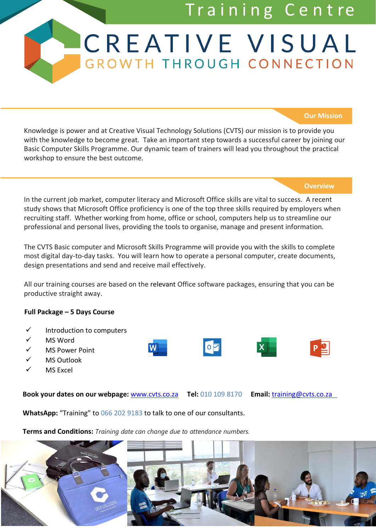# Training Centre

# **CREATIVE VISUAL** GROWTH THROUGH CONNECTION

#### **Our Mission**

Knowledge is power and at Creative Visual Technology Solutions (CVTS) our mission is to provide you with the knowledge to become great. Take an important step towards a successful career by joining our Basic Computer Skills Programme. Our dynamic team of trainers will lead you throughout the practical workshop to ensure the best outcome.

#### **Overview**

In the current job market, computer literacy and Microsoft Office skills are vital to success. A recent study shows that Microsoft Office proficiency is one of the top three skills required by employers when recruiting staff. Whether working from home, office or school, computers help us to streamline our professional and personal lives, providing the tools to organise, manage and present information.

The CVTS Basic computer and Microsoft Skills Programme will provide you with the skills to complete most digital day-to-day tasks. You will learn how to operate a personal computer, create documents, design presentations and send and receive mail effectively.

All our training courses are based on the relevant Office software packages, ensuring that you can be productive straight away.

#### **Full Package – 5 Days Course**

- ✓ Introduction to computers
- ✓ MS Word
- ✓ MS Power Point
- ✓ MS Outlook
- MS Excel

**Book your dates on our webpage:** [www.cvts.co.za](http://www.cvts.co.za/) **Tel:** 010 109 8170 **Email:** [training@cvts.co.za](mailto:training@cvts.co.za)

 $\circ$   $\triangleright$ 

**WhatsApp:** "Training" to 066 202 9183 to talk to one of our consultants.

**Terms and Conditions:** *Training date can change due to attendance numbers.*

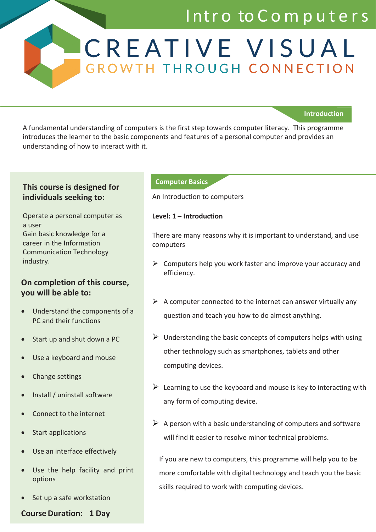# Intro to Computers

**Introduction**

A fundamental understanding of computers is the first step towards computer literacy. This programme introduces the learner to the basic components and features of a personal computer and provides an understanding of how to interact with it.

# **This course is designed for individuals seeking to:**

Operate a personal computer as a user Gain basic knowledge for a career in the Information Communication Technology industry.

### **On completion of this course, you will be able to:**

- Understand the components of a PC and their functions
- Start up and shut down a PC
- Use a keyboard and mouse
- Change settings
- Install / uninstall software
- Connect to the internet
- Start applications
- Use an interface effectively
- Use the help facility and print options
- Set up a safe workstation

**Course Duration: 1 Day**

### **Computer Basics**

An Introduction to computers

CREATIVE VISUAL

GROWTH THROUGH CONNECTION

### **Level: 1 – Introduction**

There are many reasons why it is important to understand, and use computers

- $\triangleright$  Computers help you work faster and improve your accuracy and efficiency.
- $\triangleright$  A computer connected to the internet can answer virtually any question and teach you how to do almost anything.
- $\triangleright$  Understanding the basic concepts of computers helps with using other technology such as smartphones, tablets and other computing devices.
- $\triangleright$  Learning to use the keyboard and mouse is key to interacting with any form of computing device.
- $\triangleright$  A person with a basic understanding of computers and software will find it easier to resolve minor technical problems.

If you are new to computers, this programme will help you to be more comfortable with digital technology and teach you the basic skills required to work with computing devices.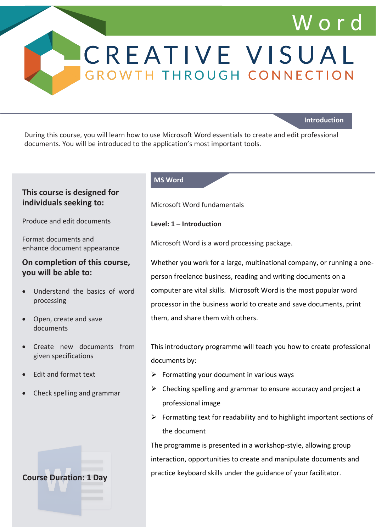# W o r d

**Introduction**

During this course, you will learn how to use Microsoft Word essentials to create and edit professional documents. You will be introduced to the application's most important tools.

### **This course is designed for individuals seeking to:**

Produce and edit documents

Format documents and enhance document appearance

### **On completion of this course, you will be able to:**

- Understand the basics of word processing
- Open, create and save documents
- Create new documents from given specifications
- Edit and format text
- Check spelling and grammar

# **Course Duration: 1 Day**

#### **MS Word**

Microsoft Word fundamentals

**Level: 1 – Introduction**

Microsoft Word is a word processing package.

CREATIVE VISUAL

GROWTH THROUGH CONNECTION

Whether you work for a large, multinational company, or running a oneperson freelance business, reading and writing documents on a computer are vital skills. Microsoft Word is the most popular word processor in the business world to create and save documents, print them, and share them with others.

This introductory programme will teach you how to create professional documents by:

- $\triangleright$  Formatting your document in various ways
- $\triangleright$  Checking spelling and grammar to ensure accuracy and project a professional image
- $\triangleright$  Formatting text for readability and to highlight important sections of the document

The programme is presented in a workshop-style, allowing group interaction, opportunities to create and manipulate documents and practice keyboard skills under the guidance of your facilitator.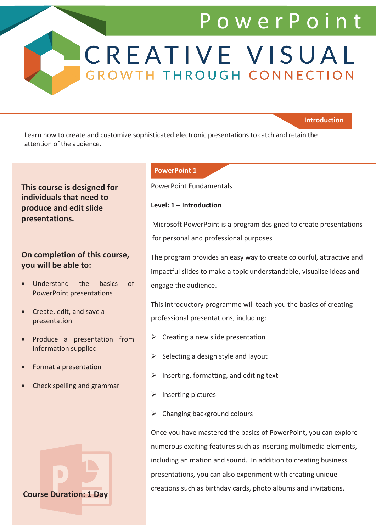# P o w e r P o i n t

CREATIVE VISUAL GROWTH THROUGH CONNECTION

### **Introduction**

Learn how to create and customize sophisticated electronic presentations to catch and retain the attention of the audience.

# **This course is designed for individuals that need to produce and edit slide presentations.**

## **On completion of this course, you will be able to:**

- Understand the basics of PowerPoint presentations
- Create, edit, and save a presentation
- Produce a presentation from information supplied
- Format a presentation
- Check spelling and grammar



#### **PowerPoint 1**

PowerPoint Fundamentals

#### **Level: 1 – Introduction**

Microsoft PowerPoint is a program designed to create presentations for personal and professional purposes

The program provides an easy way to create colourful, attractive and impactful slides to make a topic understandable, visualise ideas and engage the audience.

This introductory programme will teach you the basics of creating professional presentations, including:

- $\triangleright$  Creating a new slide presentation
- $\triangleright$  Selecting a design style and layout
- $\triangleright$  Inserting, formatting, and editing text
- ➢ Inserting pictures
- $\triangleright$  Changing background colours

Once you have mastered the basics of PowerPoint, you can explore numerous exciting features such as inserting multimedia elements, including animation and sound. In addition to creating business presentations, you can also experiment with creating unique creations such as birthday cards, photo albums and invitations.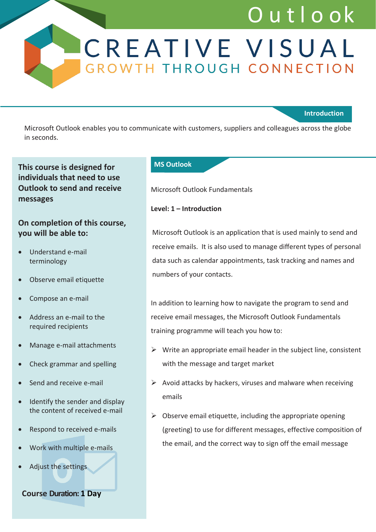# O u t l o ok

# CREATIVE VISUAL GROWTH THROUGH CONNECTION

### **Introduction**

Microsoft Outlook enables you to communicate with customers, suppliers and colleagues across the globe in seconds.

# **This course is designed for individuals that need to use Outlook to send and receive messages**

# **On completion of this course, you will be able to:**

- Understand e-mail terminology
- Observe email etiquette
- Compose an e-mail
- Address an e-mail to the required recipients
- Manage e-mail attachments
- Check grammar and spelling
- Send and receive e-mail
- Identify the sender and display the content of received e-mail
- Respond to received e-mails
- Work with multiple e-mails
- Adjust the settings

**Course Duration: 1 Day**

#### **MS Outlook**

Microsoft Outlook Fundamentals

### **Level: 1 – Introduction**

Microsoft Outlook is an application that is used mainly to send and receive emails. It is also used to manage different types of personal data such as calendar appointments, task tracking and names and numbers of your contacts.

In addition to learning how to navigate the program to send and receive email messages, the Microsoft Outlook Fundamentals training programme will teach you how to:

- $\triangleright$  Write an appropriate email header in the subject line, consistent with the message and target market
- $\triangleright$  Avoid attacks by hackers, viruses and malware when receiving emails
- $\triangleright$  Observe email etiquette, including the appropriate opening (greeting) to use for different messages, effective composition of the email, and the correct way to sign off the email message